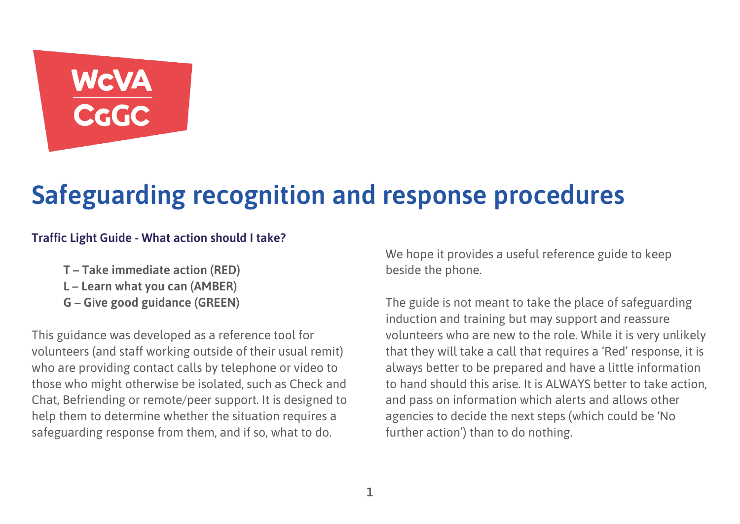# WCVA<br>CGGC

## **Safeguarding recognition and response procedures**

#### **Traffic Light Guide - What action should I take?**

- **T – Take immediate action (RED)**
- **L – Learn what you can (AMBER)**
- **G – Give good guidance (GREEN)**

This guidance was developed as a reference tool for volunteers (and staff working outside of their usual remit) who are providing contact calls by telephone or video to those who might otherwise be isolated, such as Check and Chat, Befriending or remote/peer support. It is designed to help them to determine whether the situation requires a safeguarding response from them, and if so, what to do.

We hope it provides a useful reference guide to keep beside the phone.

The guide is not meant to take the place of safeguarding induction and training but may support and reassure volunteers who are new to the role. While it is very unlikely that they will take a call that requires a 'Red' response, it is always better to be prepared and have a little information to hand should this arise. It is ALWAYS better to take action, and pass on information which alerts and allows other agencies to decide the next steps (which could be 'No further action') than to do nothing.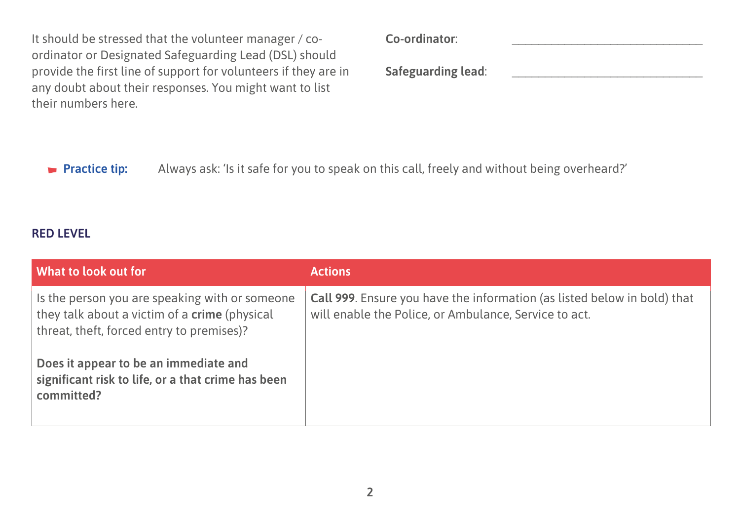It should be stressed that the volunteer manager / coordinator or Designated Safeguarding Lead (DSL) should provide the first line of support for volunteers if they are in any doubt about their responses. You might want to list their numbers here.

| Co-ordinator:             |  |
|---------------------------|--|
| <b>Safeguarding lead:</b> |  |

**Practice tip:** Always ask: 'Is it safe for you to speak on this call, freely and without being overheard?'

#### **RED LEVEL**

| What to look out for                                                                                                                                | <b>Actions</b>                                                                                                                           |
|-----------------------------------------------------------------------------------------------------------------------------------------------------|------------------------------------------------------------------------------------------------------------------------------------------|
| Is the person you are speaking with or someone<br>they talk about a victim of a <b>crime</b> (physical<br>threat, theft, forced entry to premises)? | <b>Call 999.</b> Ensure you have the information (as listed below in bold) that<br>will enable the Police, or Ambulance, Service to act. |
| Does it appear to be an immediate and<br>significant risk to life, or a that crime has been<br>committed?                                           |                                                                                                                                          |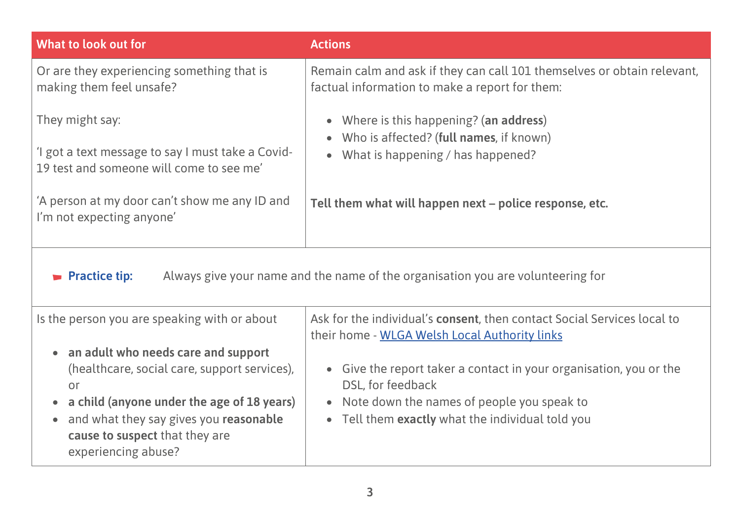| What to look out for                                                                                                                                                                                                                                                   | <b>Actions</b>                                                                                                                                                                              |
|------------------------------------------------------------------------------------------------------------------------------------------------------------------------------------------------------------------------------------------------------------------------|---------------------------------------------------------------------------------------------------------------------------------------------------------------------------------------------|
| Or are they experiencing something that is<br>making them feel unsafe?                                                                                                                                                                                                 | Remain calm and ask if they can call 101 themselves or obtain relevant,<br>factual information to make a report for them:                                                                   |
| They might say:                                                                                                                                                                                                                                                        | • Where is this happening? (an address)                                                                                                                                                     |
| 'I got a text message to say I must take a Covid-<br>19 test and someone will come to see me'                                                                                                                                                                          | Who is affected? (full names, if known)<br>$\bullet$<br>What is happening / has happened?<br>$\bullet$                                                                                      |
| 'A person at my door can't show me any ID and<br>I'm not expecting anyone'                                                                                                                                                                                             | Tell them what will happen next - police response, etc.                                                                                                                                     |
| Always give your name and the name of the organisation you are volunteering for<br><b>Practice tip:</b>                                                                                                                                                                |                                                                                                                                                                                             |
| Is the person you are speaking with or about                                                                                                                                                                                                                           | Ask for the individual's consent, then contact Social Services local to<br>their home - WLGA Welsh Local Authority links                                                                    |
| • an adult who needs care and support<br>(healthcare, social care, support services),<br>or<br>a child (anyone under the age of 18 years)<br>$\bullet$<br>and what they say gives you reasonable<br>$\bullet$<br>cause to suspect that they are<br>experiencing abuse? | • Give the report taker a contact in your organisation, you or the<br>DSL, for feedback<br>• Note down the names of people you speak to<br>• Tell them exactly what the individual told you |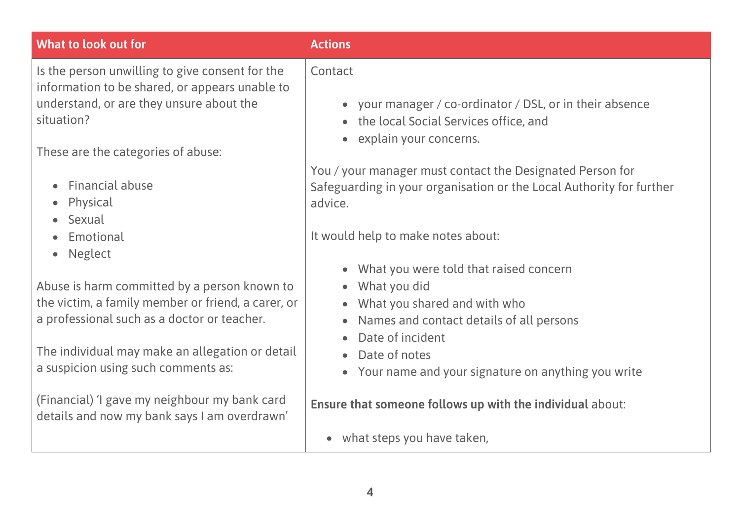| What to look out for                                                                              | <b>Actions</b>                                                                                      |
|---------------------------------------------------------------------------------------------------|-----------------------------------------------------------------------------------------------------|
| Is the person unwilling to give consent for the<br>information to be shared, or appears unable to | Contact                                                                                             |
| understand, or are they unsure about the<br>situation?                                            | • your manager / co-ordinator / DSL, or in their absence<br>• the local Social Services office, and |
| These are the categories of abuse:                                                                | explain your concerns.                                                                              |
|                                                                                                   | You / your manager must contact the Designated Person for                                           |
| Financial abuse                                                                                   | Safeguarding in your organisation or the Local Authority for further                                |
| Physical<br>$\bullet$                                                                             | advice.                                                                                             |
| • Sexual                                                                                          |                                                                                                     |
| Emotional<br>$\bullet$                                                                            | It would help to make notes about:                                                                  |
| <b>Neglect</b><br>$\bullet$                                                                       |                                                                                                     |
|                                                                                                   | • What you were told that raised concern                                                            |
| Abuse is harm committed by a person known to                                                      | What you did<br>$\bullet$                                                                           |
| the victim, a family member or friend, a carer, or<br>a professional such as a doctor or teacher. | • What you shared and with who                                                                      |
|                                                                                                   | Names and contact details of all persons<br>$\bullet$<br>Date of incident<br>$\bullet$              |
| The individual may make an allegation or detail                                                   | Date of notes                                                                                       |
| a suspicion using such comments as:                                                               | • Your name and your signature on anything you write                                                |
|                                                                                                   |                                                                                                     |
| (Financial) 'I gave my neighbour my bank card<br>details and now my bank says I am overdrawn'     | Ensure that someone follows up with the individual about:                                           |
|                                                                                                   | what steps you have taken,<br>$\bullet$                                                             |
|                                                                                                   |                                                                                                     |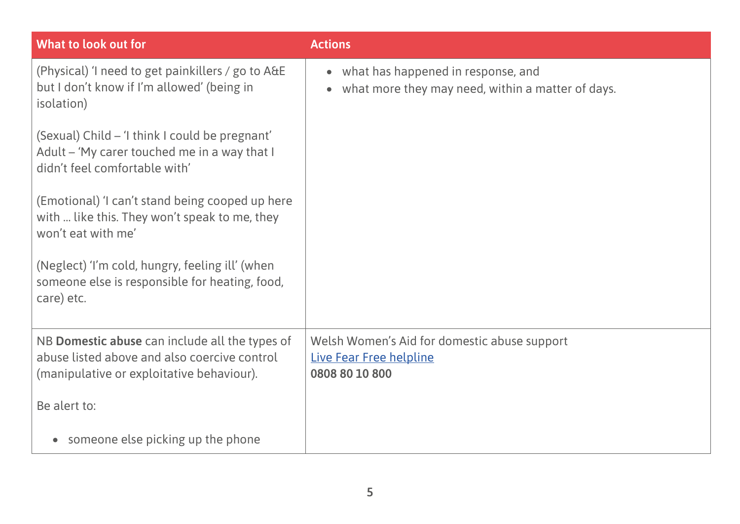| What to look out for                                                                                                                        | <b>Actions</b>                                                                            |
|---------------------------------------------------------------------------------------------------------------------------------------------|-------------------------------------------------------------------------------------------|
| (Physical) 'I need to get painkillers / go to A&E<br>but I don't know if I'm allowed' (being in<br>isolation)                               | • what has happened in response, and<br>what more they may need, within a matter of days. |
| (Sexual) Child – 'I think I could be pregnant'<br>Adult - 'My carer touched me in a way that I<br>didn't feel comfortable with'             |                                                                                           |
| (Emotional) 'I can't stand being cooped up here<br>with  like this. They won't speak to me, they<br>won't eat with me'                      |                                                                                           |
| (Neglect) 'I'm cold, hungry, feeling ill' (when<br>someone else is responsible for heating, food,<br>care) etc.                             |                                                                                           |
| NB Domestic abuse can include all the types of<br>abuse listed above and also coercive control<br>(manipulative or exploitative behaviour). | Welsh Women's Aid for domestic abuse support<br>Live Fear Free helpline<br>0808 80 10 800 |
| Be alert to:                                                                                                                                |                                                                                           |
| someone else picking up the phone                                                                                                           |                                                                                           |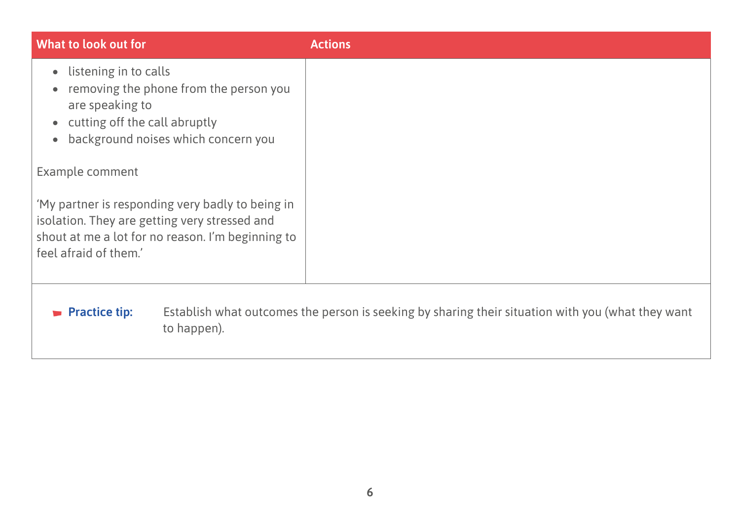| What to look out for                                                                                                                                                                   | <b>Actions</b>                                                                                    |
|----------------------------------------------------------------------------------------------------------------------------------------------------------------------------------------|---------------------------------------------------------------------------------------------------|
| listening in to calls<br>$\bullet$<br>removing the phone from the person you<br>are speaking to<br>• cutting off the call abruptly<br>background noises which concern you<br>$\bullet$ |                                                                                                   |
| Example comment                                                                                                                                                                        |                                                                                                   |
| 'My partner is responding very badly to being in<br>isolation. They are getting very stressed and<br>shout at me a lot for no reason. I'm beginning to<br>feel afraid of them.'        |                                                                                                   |
| $\blacktriangleright$ Practice tip:<br>to happen).                                                                                                                                     | Establish what outcomes the person is seeking by sharing their situation with you (what they want |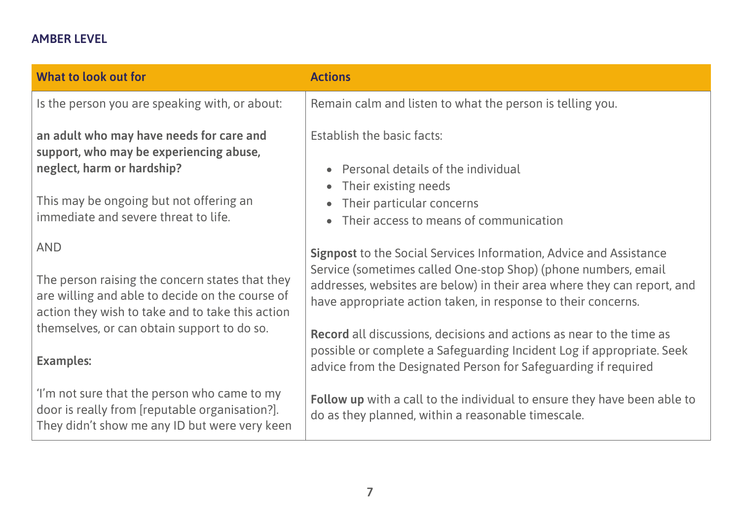#### **AMBER LEVEL**

| What to look out for                                                                                                                                                 | <b>Actions</b>                                                                                                                                                                                                                                                                          |
|----------------------------------------------------------------------------------------------------------------------------------------------------------------------|-----------------------------------------------------------------------------------------------------------------------------------------------------------------------------------------------------------------------------------------------------------------------------------------|
| Is the person you are speaking with, or about:                                                                                                                       | Remain calm and listen to what the person is telling you.                                                                                                                                                                                                                               |
| an adult who may have needs for care and<br>support, who may be experiencing abuse,<br>neglect, harm or hardship?<br>This may be ongoing but not offering an         | Establish the basic facts:<br>Personal details of the individual<br>Their existing needs<br>Their particular concerns                                                                                                                                                                   |
| immediate and severe threat to life.                                                                                                                                 | Their access to means of communication                                                                                                                                                                                                                                                  |
| <b>AND</b><br>The person raising the concern states that they<br>are willing and able to decide on the course of<br>action they wish to take and to take this action | <b>Signpost</b> to the Social Services Information, Advice and Assistance<br>Service (sometimes called One-stop Shop) (phone numbers, email<br>addresses, websites are below) in their area where they can report, and<br>have appropriate action taken, in response to their concerns. |
| themselves, or can obtain support to do so.<br><b>Examples:</b>                                                                                                      | <b>Record</b> all discussions, decisions and actions as near to the time as<br>possible or complete a Safeguarding Incident Log if appropriate. Seek<br>advice from the Designated Person for Safeguarding if required                                                                  |
| 'I'm not sure that the person who came to my<br>door is really from [reputable organisation?].<br>They didn't show me any ID but were very keen                      | Follow up with a call to the individual to ensure they have been able to<br>do as they planned, within a reasonable timescale.                                                                                                                                                          |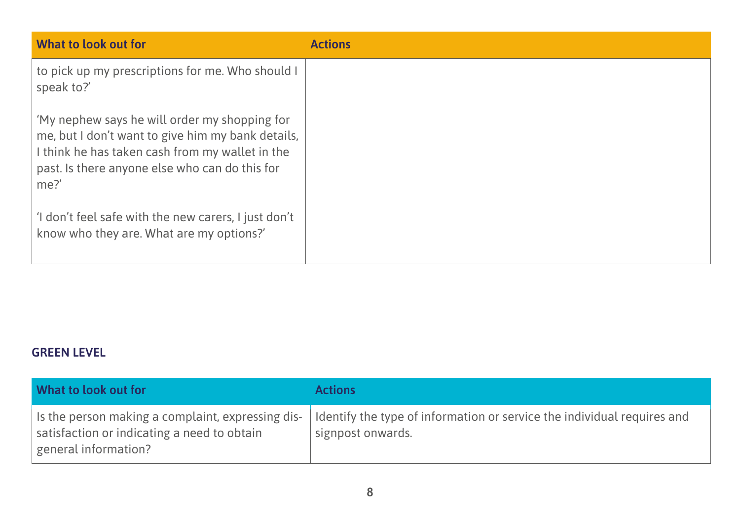| What to look out for                                                                                                                                                                                            | <b>Actions</b> |
|-----------------------------------------------------------------------------------------------------------------------------------------------------------------------------------------------------------------|----------------|
| to pick up my prescriptions for me. Who should I<br>speak to?'                                                                                                                                                  |                |
| 'My nephew says he will order my shopping for<br>me, but I don't want to give him my bank details,<br>I think he has taken cash from my wallet in the<br>past. Is there anyone else who can do this for<br>me?' |                |
| 'I don't feel safe with the new carers, I just don't<br>know who they are. What are my options?'                                                                                                                |                |

#### **GREEN LEVEL**

| What to look out for                                                                                                     | <b>Actions</b>                                                                               |
|--------------------------------------------------------------------------------------------------------------------------|----------------------------------------------------------------------------------------------|
| Is the person making a complaint, expressing dis-<br>satisfaction or indicating a need to obtain<br>general information? | Identify the type of information or service the individual requires and<br>signpost onwards. |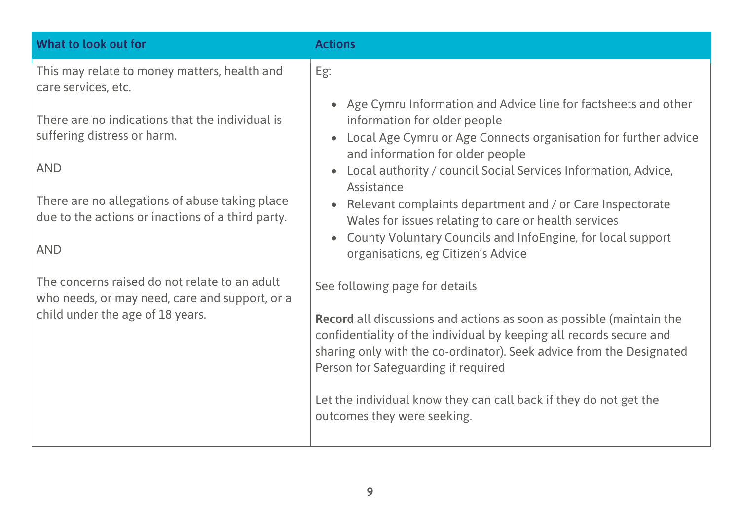| What to look out for                                                                                                                                                                                              | <b>Actions</b>                                                                                                                                                                                                                                                                                                                                                                                                                                                                                                                                                      |
|-------------------------------------------------------------------------------------------------------------------------------------------------------------------------------------------------------------------|---------------------------------------------------------------------------------------------------------------------------------------------------------------------------------------------------------------------------------------------------------------------------------------------------------------------------------------------------------------------------------------------------------------------------------------------------------------------------------------------------------------------------------------------------------------------|
| This may relate to money matters, health and<br>care services, etc.                                                                                                                                               | Eg:                                                                                                                                                                                                                                                                                                                                                                                                                                                                                                                                                                 |
| There are no indications that the individual is<br>suffering distress or harm.<br><b>AND</b><br>There are no allegations of abuse taking place<br>due to the actions or inactions of a third party.<br><b>AND</b> | Age Cymru Information and Advice line for factsheets and other<br>$\bullet$<br>information for older people<br>Local Age Cymru or Age Connects organisation for further advice<br>$\bullet$<br>and information for older people<br>Local authority / council Social Services Information, Advice,<br>$\bullet$<br>Assistance<br>Relevant complaints department and / or Care Inspectorate<br>Wales for issues relating to care or health services<br>County Voluntary Councils and InfoEngine, for local support<br>$\bullet$<br>organisations, eg Citizen's Advice |
| The concerns raised do not relate to an adult<br>who needs, or may need, care and support, or a<br>child under the age of 18 years.                                                                               | See following page for details<br><b>Record</b> all discussions and actions as soon as possible (maintain the<br>confidentiality of the individual by keeping all records secure and<br>sharing only with the co-ordinator). Seek advice from the Designated<br>Person for Safeguarding if required<br>Let the individual know they can call back if they do not get the<br>outcomes they were seeking.                                                                                                                                                             |